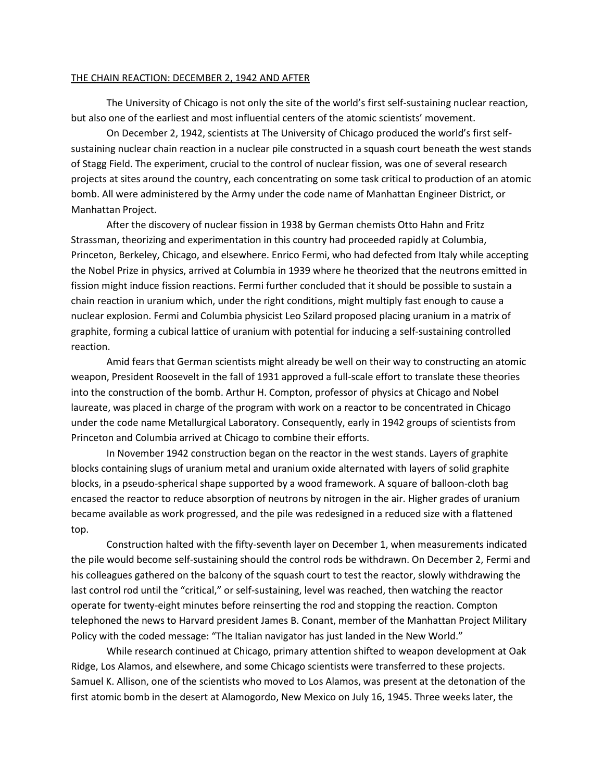## THE CHAIN REACTION: DECEMBER 2, 1942 AND AFTER

The University of Chicago is not only the site of the world's first self-sustaining nuclear reaction, but also one of the earliest and most influential centers of the atomic scientists' movement.

On December 2, 1942, scientists at The University of Chicago produced the world's first selfsustaining nuclear chain reaction in a nuclear pile constructed in a squash court beneath the west stands of Stagg Field. The experiment, crucial to the control of nuclear fission, was one of several research projects at sites around the country, each concentrating on some task critical to production of an atomic bomb. All were administered by the Army under the code name of Manhattan Engineer District, or Manhattan Project.

After the discovery of nuclear fission in 1938 by German chemists Otto Hahn and Fritz Strassman, theorizing and experimentation in this country had proceeded rapidly at Columbia, Princeton, Berkeley, Chicago, and elsewhere. Enrico Fermi, who had defected from Italy while accepting the Nobel Prize in physics, arrived at Columbia in 1939 where he theorized that the neutrons emitted in fission might induce fission reactions. Fermi further concluded that it should be possible to sustain a chain reaction in uranium which, under the right conditions, might multiply fast enough to cause a nuclear explosion. Fermi and Columbia physicist Leo Szilard proposed placing uranium in a matrix of graphite, forming a cubical lattice of uranium with potential for inducing a self-sustaining controlled reaction.

Amid fears that German scientists might already be well on their way to constructing an atomic weapon, President Roosevelt in the fall of 1931 approved a full-scale effort to translate these theories into the construction of the bomb. Arthur H. Compton, professor of physics at Chicago and Nobel laureate, was placed in charge of the program with work on a reactor to be concentrated in Chicago under the code name Metallurgical Laboratory. Consequently, early in 1942 groups of scientists from Princeton and Columbia arrived at Chicago to combine their efforts.

In November 1942 construction began on the reactor in the west stands. Layers of graphite blocks containing slugs of uranium metal and uranium oxide alternated with layers of solid graphite blocks, in a pseudo-spherical shape supported by a wood framework. A square of balloon-cloth bag encased the reactor to reduce absorption of neutrons by nitrogen in the air. Higher grades of uranium became available as work progressed, and the pile was redesigned in a reduced size with a flattened top.

Construction halted with the fifty-seventh layer on December 1, when measurements indicated the pile would become self-sustaining should the control rods be withdrawn. On December 2, Fermi and his colleagues gathered on the balcony of the squash court to test the reactor, slowly withdrawing the last control rod until the "critical," or self-sustaining, level was reached, then watching the reactor operate for twenty-eight minutes before reinserting the rod and stopping the reaction. Compton telephoned the news to Harvard president James B. Conant, member of the Manhattan Project Military Policy with the coded message: "The Italian navigator has just landed in the New World."

While research continued at Chicago, primary attention shifted to weapon development at Oak Ridge, Los Alamos, and elsewhere, and some Chicago scientists were transferred to these projects. Samuel K. Allison, one of the scientists who moved to Los Alamos, was present at the detonation of the first atomic bomb in the desert at Alamogordo, New Mexico on July 16, 1945. Three weeks later, the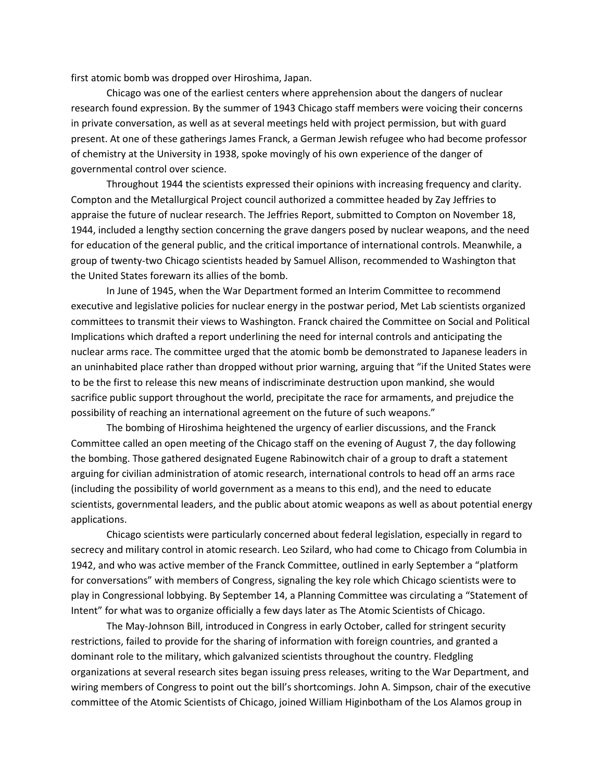first atomic bomb was dropped over Hiroshima, Japan.

Chicago was one of the earliest centers where apprehension about the dangers of nuclear research found expression. By the summer of 1943 Chicago staff members were voicing their concerns in private conversation, as well as at several meetings held with project permission, but with guard present. At one of these gatherings James Franck, a German Jewish refugee who had become professor of chemistry at the University in 1938, spoke movingly of his own experience of the danger of governmental control over science.

Throughout 1944 the scientists expressed their opinions with increasing frequency and clarity. Compton and the Metallurgical Project council authorized a committee headed by Zay Jeffries to appraise the future of nuclear research. The Jeffries Report, submitted to Compton on November 18, 1944, included a lengthy section concerning the grave dangers posed by nuclear weapons, and the need for education of the general public, and the critical importance of international controls. Meanwhile, a group of twenty-two Chicago scientists headed by Samuel Allison, recommended to Washington that the United States forewarn its allies of the bomb.

In June of 1945, when the War Department formed an Interim Committee to recommend executive and legislative policies for nuclear energy in the postwar period, Met Lab scientists organized committees to transmit their views to Washington. Franck chaired the Committee on Social and Political Implications which drafted a report underlining the need for internal controls and anticipating the nuclear arms race. The committee urged that the atomic bomb be demonstrated to Japanese leaders in an uninhabited place rather than dropped without prior warning, arguing that "if the United States were to be the first to release this new means of indiscriminate destruction upon mankind, she would sacrifice public support throughout the world, precipitate the race for armaments, and prejudice the possibility of reaching an international agreement on the future of such weapons."

The bombing of Hiroshima heightened the urgency of earlier discussions, and the Franck Committee called an open meeting of the Chicago staff on the evening of August 7, the day following the bombing. Those gathered designated Eugene Rabinowitch chair of a group to draft a statement arguing for civilian administration of atomic research, international controls to head off an arms race (including the possibility of world government as a means to this end), and the need to educate scientists, governmental leaders, and the public about atomic weapons as well as about potential energy applications.

Chicago scientists were particularly concerned about federal legislation, especially in regard to secrecy and military control in atomic research. Leo Szilard, who had come to Chicago from Columbia in 1942, and who was active member of the Franck Committee, outlined in early September a "platform for conversations" with members of Congress, signaling the key role which Chicago scientists were to play in Congressional lobbying. By September 14, a Planning Committee was circulating a "Statement of Intent" for what was to organize officially a few days later as The Atomic Scientists of Chicago.

The May-Johnson Bill, introduced in Congress in early October, called for stringent security restrictions, failed to provide for the sharing of information with foreign countries, and granted a dominant role to the military, which galvanized scientists throughout the country. Fledgling organizations at several research sites began issuing press releases, writing to the War Department, and wiring members of Congress to point out the bill's shortcomings. John A. Simpson, chair of the executive committee of the Atomic Scientists of Chicago, joined William Higinbotham of the Los Alamos group in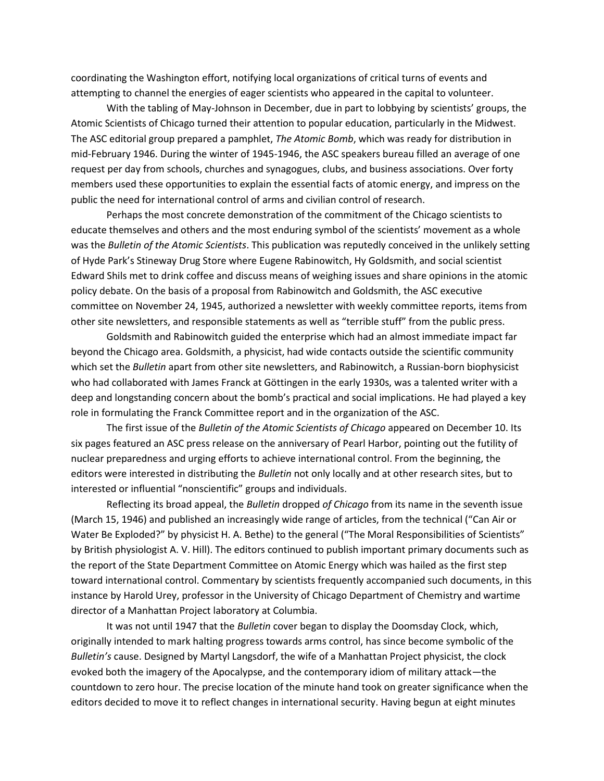coordinating the Washington effort, notifying local organizations of critical turns of events and attempting to channel the energies of eager scientists who appeared in the capital to volunteer.

With the tabling of May-Johnson in December, due in part to lobbying by scientists' groups, the Atomic Scientists of Chicago turned their attention to popular education, particularly in the Midwest. The ASC editorial group prepared a pamphlet, *The Atomic Bomb*, which was ready for distribution in mid-February 1946. During the winter of 1945-1946, the ASC speakers bureau filled an average of one request per day from schools, churches and synagogues, clubs, and business associations. Over forty members used these opportunities to explain the essential facts of atomic energy, and impress on the public the need for international control of arms and civilian control of research.

Perhaps the most concrete demonstration of the commitment of the Chicago scientists to educate themselves and others and the most enduring symbol of the scientists' movement as a whole was the *Bulletin of the Atomic Scientists*. This publication was reputedly conceived in the unlikely setting of Hyde Park's Stineway Drug Store where Eugene Rabinowitch, Hy Goldsmith, and social scientist Edward Shils met to drink coffee and discuss means of weighing issues and share opinions in the atomic policy debate. On the basis of a proposal from Rabinowitch and Goldsmith, the ASC executive committee on November 24, 1945, authorized a newsletter with weekly committee reports, items from other site newsletters, and responsible statements as well as "terrible stuff" from the public press.

Goldsmith and Rabinowitch guided the enterprise which had an almost immediate impact far beyond the Chicago area. Goldsmith, a physicist, had wide contacts outside the scientific community which set the *Bulletin* apart from other site newsletters, and Rabinowitch, a Russian-born biophysicist who had collaborated with James Franck at Göttingen in the early 1930s, was a talented writer with a deep and longstanding concern about the bomb's practical and social implications. He had played a key role in formulating the Franck Committee report and in the organization of the ASC.

The first issue of the *Bulletin of the Atomic Scientists of Chicago* appeared on December 10. Its six pages featured an ASC press release on the anniversary of Pearl Harbor, pointing out the futility of nuclear preparedness and urging efforts to achieve international control. From the beginning, the editors were interested in distributing the *Bulletin* not only locally and at other research sites, but to interested or influential "nonscientific" groups and individuals.

Reflecting its broad appeal, the *Bulletin* dropped *of Chicago* from its name in the seventh issue (March 15, 1946) and published an increasingly wide range of articles, from the technical ("Can Air or Water Be Exploded?" by physicist H. A. Bethe) to the general ("The Moral Responsibilities of Scientists" by British physiologist A. V. Hill). The editors continued to publish important primary documents such as the report of the State Department Committee on Atomic Energy which was hailed as the first step toward international control. Commentary by scientists frequently accompanied such documents, in this instance by Harold Urey, professor in the University of Chicago Department of Chemistry and wartime director of a Manhattan Project laboratory at Columbia.

It was not until 1947 that the *Bulletin* cover began to display the Doomsday Clock, which, originally intended to mark halting progress towards arms control, has since become symbolic of the *Bulletin's* cause. Designed by Martyl Langsdorf, the wife of a Manhattan Project physicist, the clock evoked both the imagery of the Apocalypse, and the contemporary idiom of military attack—the countdown to zero hour. The precise location of the minute hand took on greater significance when the editors decided to move it to reflect changes in international security. Having begun at eight minutes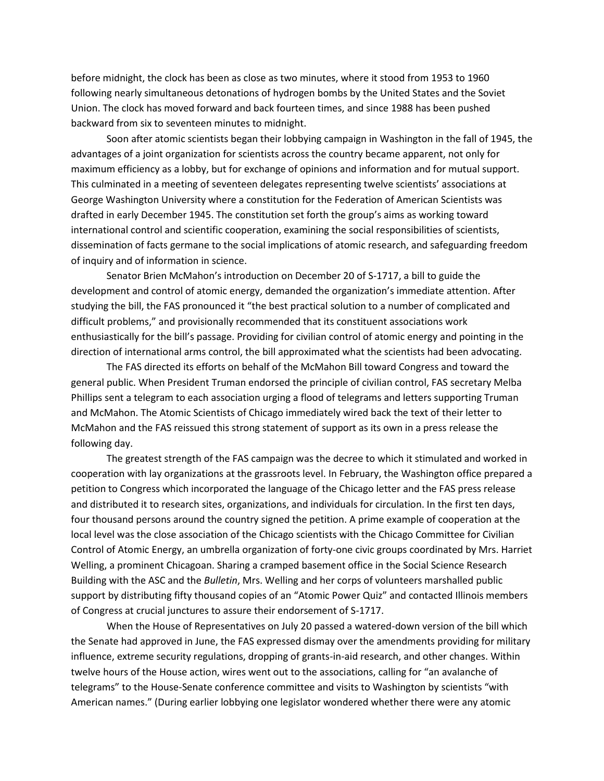before midnight, the clock has been as close as two minutes, where it stood from 1953 to 1960 following nearly simultaneous detonations of hydrogen bombs by the United States and the Soviet Union. The clock has moved forward and back fourteen times, and since 1988 has been pushed backward from six to seventeen minutes to midnight.

Soon after atomic scientists began their lobbying campaign in Washington in the fall of 1945, the advantages of a joint organization for scientists across the country became apparent, not only for maximum efficiency as a lobby, but for exchange of opinions and information and for mutual support. This culminated in a meeting of seventeen delegates representing twelve scientists' associations at George Washington University where a constitution for the Federation of American Scientists was drafted in early December 1945. The constitution set forth the group's aims as working toward international control and scientific cooperation, examining the social responsibilities of scientists, dissemination of facts germane to the social implications of atomic research, and safeguarding freedom of inquiry and of information in science.

Senator Brien McMahon's introduction on December 20 of S-1717, a bill to guide the development and control of atomic energy, demanded the organization's immediate attention. After studying the bill, the FAS pronounced it "the best practical solution to a number of complicated and difficult problems," and provisionally recommended that its constituent associations work enthusiastically for the bill's passage. Providing for civilian control of atomic energy and pointing in the direction of international arms control, the bill approximated what the scientists had been advocating.

The FAS directed its efforts on behalf of the McMahon Bill toward Congress and toward the general public. When President Truman endorsed the principle of civilian control, FAS secretary Melba Phillips sent a telegram to each association urging a flood of telegrams and letters supporting Truman and McMahon. The Atomic Scientists of Chicago immediately wired back the text of their letter to McMahon and the FAS reissued this strong statement of support as its own in a press release the following day.

The greatest strength of the FAS campaign was the decree to which it stimulated and worked in cooperation with lay organizations at the grassroots level. In February, the Washington office prepared a petition to Congress which incorporated the language of the Chicago letter and the FAS press release and distributed it to research sites, organizations, and individuals for circulation. In the first ten days, four thousand persons around the country signed the petition. A prime example of cooperation at the local level was the close association of the Chicago scientists with the Chicago Committee for Civilian Control of Atomic Energy, an umbrella organization of forty-one civic groups coordinated by Mrs. Harriet Welling, a prominent Chicagoan. Sharing a cramped basement office in the Social Science Research Building with the ASC and the *Bulletin*, Mrs. Welling and her corps of volunteers marshalled public support by distributing fifty thousand copies of an "Atomic Power Quiz" and contacted Illinois members of Congress at crucial junctures to assure their endorsement of S-1717.

When the House of Representatives on July 20 passed a watered-down version of the bill which the Senate had approved in June, the FAS expressed dismay over the amendments providing for military influence, extreme security regulations, dropping of grants-in-aid research, and other changes. Within twelve hours of the House action, wires went out to the associations, calling for "an avalanche of telegrams" to the House-Senate conference committee and visits to Washington by scientists "with American names." (During earlier lobbying one legislator wondered whether there were any atomic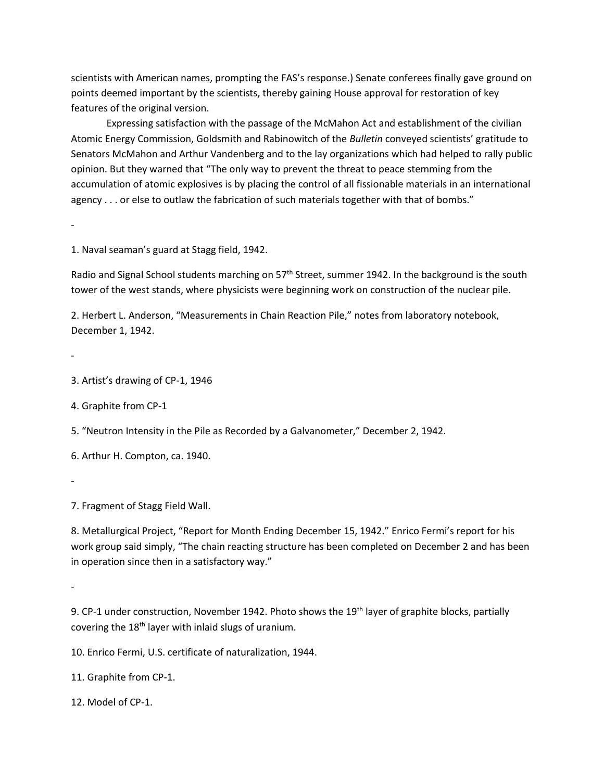scientists with American names, prompting the FAS's response.) Senate conferees finally gave ground on points deemed important by the scientists, thereby gaining House approval for restoration of key features of the original version.

Expressing satisfaction with the passage of the McMahon Act and establishment of the civilian Atomic Energy Commission, Goldsmith and Rabinowitch of the *Bulletin* conveyed scientists' gratitude to Senators McMahon and Arthur Vandenberg and to the lay organizations which had helped to rally public opinion. But they warned that "The only way to prevent the threat to peace stemming from the accumulation of atomic explosives is by placing the control of all fissionable materials in an international agency . . . or else to outlaw the fabrication of such materials together with that of bombs."

1. Naval seaman's guard at Stagg field, 1942.

Radio and Signal School students marching on 57<sup>th</sup> Street, summer 1942. In the background is the south tower of the west stands, where physicists were beginning work on construction of the nuclear pile.

2. Herbert L. Anderson, "Measurements in Chain Reaction Pile," notes from laboratory notebook, December 1, 1942.

-

-

3. Artist's drawing of CP-1, 1946

4. Graphite from CP-1

5. "Neutron Intensity in the Pile as Recorded by a Galvanometer," December 2, 1942.

6. Arthur H. Compton, ca. 1940.

-

7. Fragment of Stagg Field Wall.

8. Metallurgical Project, "Report for Month Ending December 15, 1942." Enrico Fermi's report for his work group said simply, "The chain reacting structure has been completed on December 2 and has been in operation since then in a satisfactory way."

-

9. CP-1 under construction, November 1942. Photo shows the 19<sup>th</sup> layer of graphite blocks, partially covering the 18th layer with inlaid slugs of uranium.

10. Enrico Fermi, U.S. certificate of naturalization, 1944.

11. Graphite from CP-1.

12. Model of CP-1.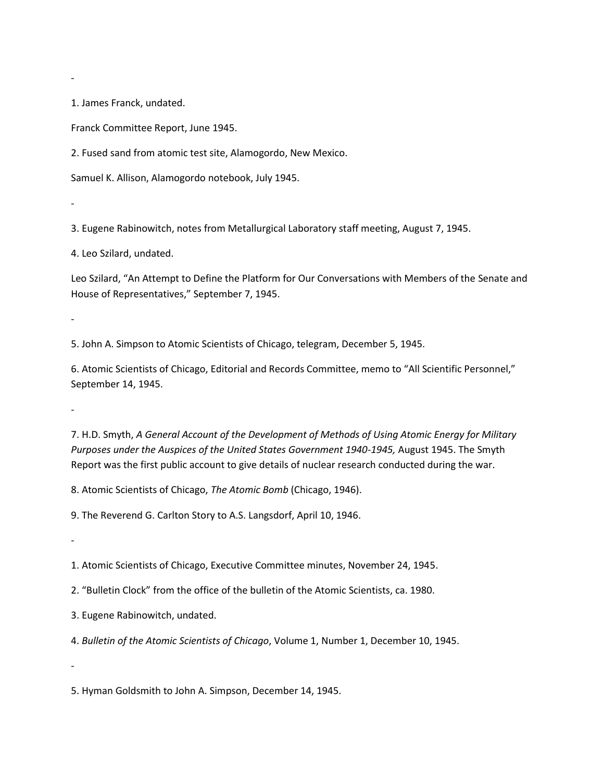1. James Franck, undated.

-

-

Franck Committee Report, June 1945.

2. Fused sand from atomic test site, Alamogordo, New Mexico.

Samuel K. Allison, Alamogordo notebook, July 1945.

3. Eugene Rabinowitch, notes from Metallurgical Laboratory staff meeting, August 7, 1945.

4. Leo Szilard, undated.

Leo Szilard, "An Attempt to Define the Platform for Our Conversations with Members of the Senate and House of Representatives," September 7, 1945.

5. John A. Simpson to Atomic Scientists of Chicago, telegram, December 5, 1945.

6. Atomic Scientists of Chicago, Editorial and Records Committee, memo to "All Scientific Personnel," September 14, 1945.

-

-

7. H.D. Smyth, *A General Account of the Development of Methods of Using Atomic Energy for Military Purposes under the Auspices of the United States Government 1940-1945,* August 1945. The Smyth Report was the first public account to give details of nuclear research conducted during the war.

8. Atomic Scientists of Chicago, *The Atomic Bomb* (Chicago, 1946).

9. The Reverend G. Carlton Story to A.S. Langsdorf, April 10, 1946.

-

-

1. Atomic Scientists of Chicago, Executive Committee minutes, November 24, 1945.

2. "Bulletin Clock" from the office of the bulletin of the Atomic Scientists, ca. 1980.

3. Eugene Rabinowitch, undated.

4. *Bulletin of the Atomic Scientists of Chicago*, Volume 1, Number 1, December 10, 1945.

5. Hyman Goldsmith to John A. Simpson, December 14, 1945.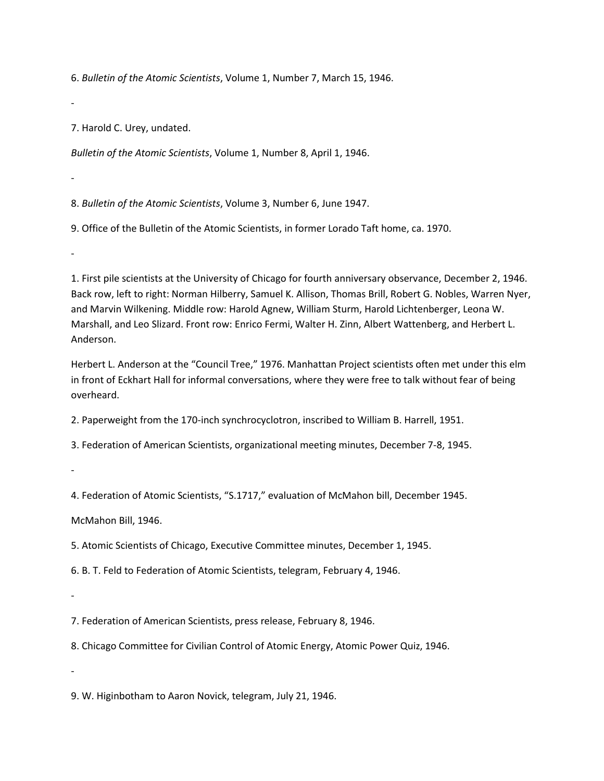6. *Bulletin of the Atomic Scientists*, Volume 1, Number 7, March 15, 1946.

-

7. Harold C. Urey, undated.

*Bulletin of the Atomic Scientists*, Volume 1, Number 8, April 1, 1946.

-

-

8. *Bulletin of the Atomic Scientists*, Volume 3, Number 6, June 1947.

9. Office of the Bulletin of the Atomic Scientists, in former Lorado Taft home, ca. 1970.

1. First pile scientists at the University of Chicago for fourth anniversary observance, December 2, 1946. Back row, left to right: Norman Hilberry, Samuel K. Allison, Thomas Brill, Robert G. Nobles, Warren Nyer, and Marvin Wilkening. Middle row: Harold Agnew, William Sturm, Harold Lichtenberger, Leona W. Marshall, and Leo Slizard. Front row: Enrico Fermi, Walter H. Zinn, Albert Wattenberg, and Herbert L. Anderson.

Herbert L. Anderson at the "Council Tree," 1976. Manhattan Project scientists often met under this elm in front of Eckhart Hall for informal conversations, where they were free to talk without fear of being overheard.

2. Paperweight from the 170-inch synchrocyclotron, inscribed to William B. Harrell, 1951.

3. Federation of American Scientists, organizational meeting minutes, December 7-8, 1945.

-

4. Federation of Atomic Scientists, "S.1717," evaluation of McMahon bill, December 1945.

McMahon Bill, 1946.

5. Atomic Scientists of Chicago, Executive Committee minutes, December 1, 1945.

6. B. T. Feld to Federation of Atomic Scientists, telegram, February 4, 1946.

-

7. Federation of American Scientists, press release, February 8, 1946.

8. Chicago Committee for Civilian Control of Atomic Energy, Atomic Power Quiz, 1946.

-

9. W. Higinbotham to Aaron Novick, telegram, July 21, 1946.